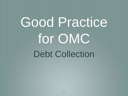# Good Practice for OMC Debt Collection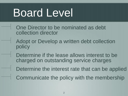### Board Level

- One Director to be nominated as debt collection director
- Adopt or Develop a written debt collection policy
- Determine if the lease allows interest to be charged on outstanding service charges
- Determine the interest rate that can be applied
- Communicate the policy with the membership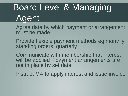### Board Level & Managing Agent

- Agree date by which payment or arrangement must be made
- Provide flexible payment methods eg monthly standing orders, quarterly

Communicate with membership that interest will be applied if payment arrangements are not in place by set date

Instruct MA to apply interest and issue invoice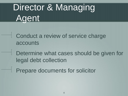### Director & Managing Agent

Conduct a review of service charge accounts

Determine what cases should be given for legal debt collection

Prepare documents for solicitor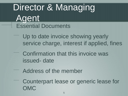#### Director & Managing Agent Essential Documents

- Up to date invoice showing yearly service charge, interest if applied, fines
- Confirmation that this invoice was issued- date
	- Address of the member
- Counterpart lease or generic lease for OMC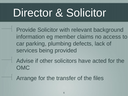### Director & Solicitor

- Provide Solicitor with relevant background information eg member claims no access to car parking, plumbing defects, lack of services being provided
- Advise if other solicitors have acted for the OMC
- Arrange for the transfer of the files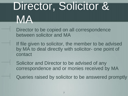# Director, Solicitor & MA

Director to be copied on all correspondence between solicitor and MA

If file given to solicitor, the member to be advised by MA to deal directly with solicitor- one point of contact

Solicitor and Director to be advised of any correspondence and or monies received by MA

Queries raised by solicitor to be answered promptly